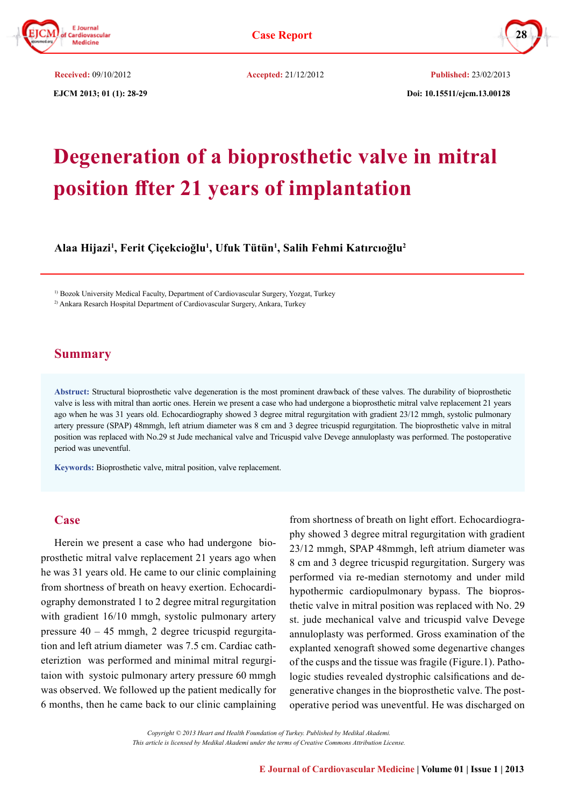

 **EJCM 2013; 01 (1): 28-29 Doi: 10.15511/ejcm.13.00128 Received:** 09/10/2012 **Accepted:** 21/12/2012 **Published:** 23/02/2013

# **Degeneration of a bioprosthetic valve in mitral position ffter 21 years of implantation**

**Alaa Hijazi<sup>1</sup> , Ferit Çiçekcioğlu1 , Ufuk Tütün1 , Salih Fehmi Katırcıoğlu<sup>2</sup>**

1) Bozok University Medical Faculty, Department of Cardiovascular Surgery, Yozgat, Turkey

2) Ankara Resarch Hospital Department of Cardiovascular Surgery, Ankara, Turkey

## **Summary**

**Abstruct:** Structural bioprosthetic valve degeneration is the most prominent drawback of these valves. The durability of bioprosthetic valve is less with mitral than aortic ones. Herein we present a case who had undergone a bioprosthetic mitral valve replacement 21 years ago when he was 31 years old. Echocardiography showed 3 degree mitral regurgitation with gradient 23/12 mmgh, systolic pulmonary artery pressure (SPAP) 48mmgh, left atrium diameter was 8 cm and 3 degree tricuspid regurgitation. The bioprosthetic valve in mitral position was replaced with No.29 st Jude mechanical valve and Tricuspid valve Devege annuloplasty was performed. The postoperative period was uneventful.

**Keywords:** Bioprosthetic valve, mitral position, valve replacement.

#### **Case**

Herein we present a case who had undergone bioprosthetic mitral valve replacement 21 years ago when he was 31 years old. He came to our clinic complaining from shortness of breath on heavy exertion. Echocardiography demonstrated 1 to 2 degree mitral regurgitation with gradient 16/10 mmgh, systolic pulmonary artery pressure 40 – 45 mmgh, 2 degree tricuspid regurgitation and left atrium diameter was 7.5 cm. Cardiac catheteriztion was performed and minimal mitral regurgitaion with systoic pulmonary artery pressure 60 mmgh was observed. We followed up the patient medically for 6 months, then he came back to our clinic camplaining

from shortness of breath on light effort. Echocardiography showed 3 degree mitral regurgitation with gradient 23/12 mmgh, SPAP 48mmgh, left atrium diameter was 8 cm and 3 degree tricuspid regurgitation. Surgery was performed via re-median sternotomy and under mild hypothermic cardiopulmonary bypass. The bioprosthetic valve in mitral position was replaced with No. 29 st. jude mechanical valve and tricuspid valve Devege annuloplasty was performed. Gross examination of the explanted xenograft showed some degenartive changes of the cusps and the tissue was fragile (Figure.1). Pathologic studies revealed dystrophic calsifications and degenerative changes in the bioprosthetic valve. The postoperative period was uneventful. He was discharged on

*Copyright © 2013 Heart and Health Foundation of Turkey. Published by Medikal Akademi. This article is licensed by Medikal Akademi under the terms of Creative Commons Attribution License.*